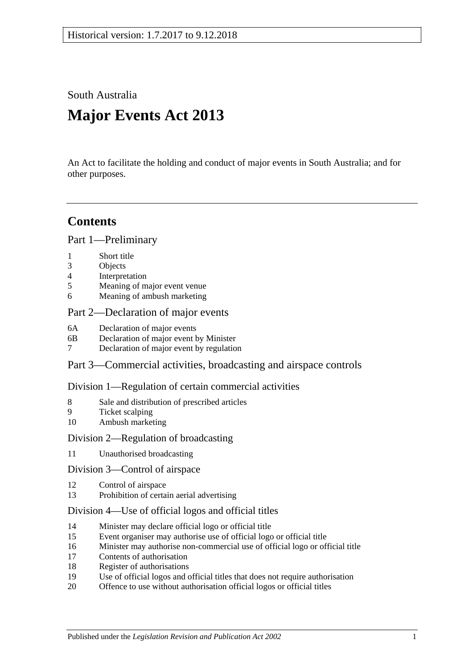South Australia

# **Major Events Act 2013**

An Act to facilitate the holding and conduct of major events in South Australia; and for other purposes.

## **Contents**

Part [1—Preliminary](#page-1-0)

- 1 [Short title](#page-1-1)
- 3 [Objects](#page-1-2)
- 4 [Interpretation](#page-1-3)
- 5 [Meaning of major event venue](#page-2-0)
- 6 [Meaning of ambush marketing](#page-3-0)

#### Part [2—Declaration of major events](#page-3-1)

- 6A [Declaration of major events](#page-3-2)
- 6B [Declaration of major event by Minister](#page-3-3)
- 7 [Declaration of major event by regulation](#page-4-0)

Part [3—Commercial activities, broadcasting and airspace controls](#page-6-0)

#### Division [1—Regulation of certain commercial activities](#page-6-1)

- 8 [Sale and distribution of prescribed articles](#page-6-2)
- 9 [Ticket scalping](#page-6-3)
- 10 [Ambush marketing](#page-7-0)

#### Division [2—Regulation of broadcasting](#page-8-0)

11 [Unauthorised broadcasting](#page-8-1)

#### Division [3—Control of airspace](#page-8-2)

- 12 [Control of airspace](#page-8-3)
- 13 [Prohibition of certain aerial advertising](#page-9-0)

#### Division [4—Use of official logos and official titles](#page-9-1)

- 14 [Minister may declare official logo or official title](#page-9-2)
- 15 [Event organiser may authorise use of official logo or official title](#page-10-0)
- 16 [Minister may authorise non-commercial use of official logo or official title](#page-10-1)
- 17 [Contents of authorisation](#page-10-2)
- 18 [Register of authorisations](#page-10-3)
- 19 [Use of official logos and official titles that does not require authorisation](#page-11-0)
- 20 [Offence to use without authorisation official logos or official titles](#page-12-0)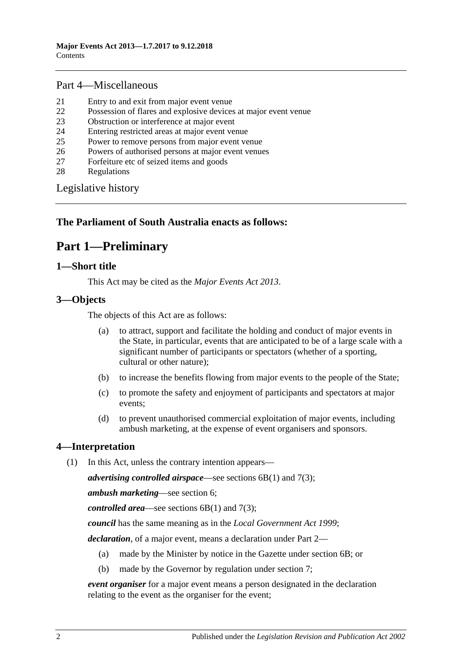#### Part [4—Miscellaneous](#page-13-0)

- 21 [Entry to and exit from major event venue](#page-13-1)
- 22 [Possession of flares and explosive devices at major event venue](#page-13-2)
- 23 [Obstruction or interference at major event](#page-13-3)
- 24 [Entering restricted areas at major event venue](#page-13-4)
- 25 [Power to remove persons from major event venue](#page-14-0)
- 26 [Powers of authorised persons at major event venues](#page-14-1)
- 27 [Forfeiture etc of seized items and goods](#page-15-0)
- 28 [Regulations](#page-16-0)

[Legislative history](#page-17-0)

#### <span id="page-1-0"></span>**The Parliament of South Australia enacts as follows:**

# **Part 1—Preliminary**

#### <span id="page-1-1"></span>**1—Short title**

This Act may be cited as the *Major Events Act 2013*.

#### <span id="page-1-2"></span>**3—Objects**

The objects of this Act are as follows:

- (a) to attract, support and facilitate the holding and conduct of major events in the State, in particular, events that are anticipated to be of a large scale with a significant number of participants or spectators (whether of a sporting, cultural or other nature);
- (b) to increase the benefits flowing from major events to the people of the State;
- (c) to promote the safety and enjoyment of participants and spectators at major events;
- (d) to prevent unauthorised commercial exploitation of major events, including ambush marketing, at the expense of event organisers and sponsors.

#### <span id="page-1-3"></span>**4—Interpretation**

(1) In this Act, unless the contrary intention appears—

*advertising controlled airspace*—see [sections](#page-3-4) 6B(1) and [7\(3\);](#page-5-0)

*ambush marketing*—see [section](#page-3-0) 6;

*controlled area*—see [sections](#page-3-4) 6B(1) and [7\(3\);](#page-5-0)

*council* has the same meaning as in the *[Local Government Act](http://www.legislation.sa.gov.au/index.aspx?action=legref&type=act&legtitle=Local%20Government%20Act%201999) 1999*;

*declaration*, of a major event, means a declaration under [Part](#page-3-1) 2—

- (a) made by the Minister by notice in the Gazette under [section](#page-3-3) 6B; or
- (b) made by the Governor by regulation under [section](#page-4-0) 7;

*event organiser* for a major event means a person designated in the declaration relating to the event as the organiser for the event;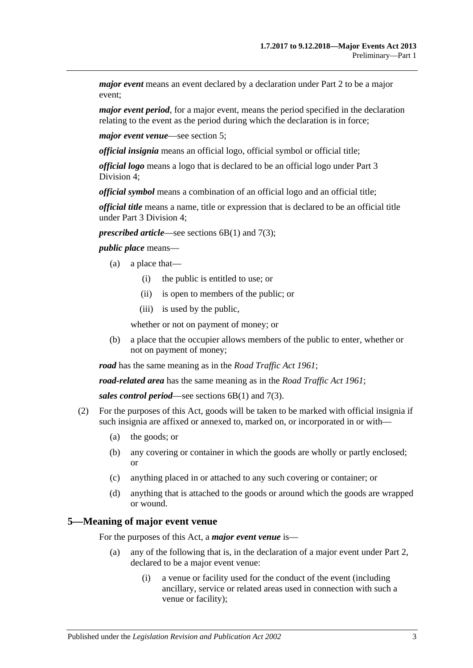*major event* means an event declared by a declaration under [Part](#page-3-1) 2 to be a major event;

*major event period*, for a major event, means the period specified in the declaration relating to the event as the period during which the declaration is in force;

*major event venue*—see [section](#page-2-0) 5;

*official insignia* means an official logo, official symbol or official title;

*official logo* means a logo that is declared to be an official logo under [Part](#page-9-1) 3 [Division](#page-9-1) 4;

*official symbol* means a combination of an official logo and an official title;

*official title* means a name, title or expression that is declared to be an official title under Part [3 Division](#page-9-1) 4;

*prescribed article—see [sections](#page-3-4) 6B(1) and [7\(3\);](#page-5-0)* 

*public place* means—

- (a) a place that—
	- (i) the public is entitled to use; or
	- (ii) is open to members of the public; or
	- (iii) is used by the public,

whether or not on payment of money; or

(b) a place that the occupier allows members of the public to enter, whether or not on payment of money;

*road* has the same meaning as in the *[Road Traffic Act](http://www.legislation.sa.gov.au/index.aspx?action=legref&type=act&legtitle=Road%20Traffic%20Act%201961) 1961*;

*road-related area* has the same meaning as in the *[Road Traffic Act](http://www.legislation.sa.gov.au/index.aspx?action=legref&type=act&legtitle=Road%20Traffic%20Act%201961) 1961*;

*sales control period*—see [sections](#page-3-4) 6B(1) and [7\(3\).](#page-5-0)

- (2) For the purposes of this Act, goods will be taken to be marked with official insignia if such insignia are affixed or annexed to, marked on, or incorporated in or with—
	- (a) the goods; or
	- (b) any covering or container in which the goods are wholly or partly enclosed; or
	- (c) anything placed in or attached to any such covering or container; or
	- (d) anything that is attached to the goods or around which the goods are wrapped or wound.

#### <span id="page-2-0"></span>**5—Meaning of major event venue**

For the purposes of this Act, a *major event venue* is—

- (a) any of the following that is, in the declaration of a major event under [Part](#page-3-1) 2, declared to be a major event venue:
	- (i) a venue or facility used for the conduct of the event (including ancillary, service or related areas used in connection with such a venue or facility);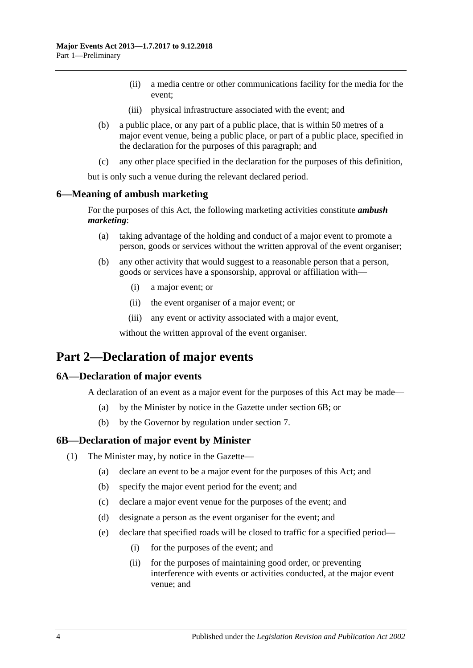- (ii) a media centre or other communications facility for the media for the event;
- (iii) physical infrastructure associated with the event; and
- (b) a public place, or any part of a public place, that is within 50 metres of a major event venue, being a public place, or part of a public place, specified in the declaration for the purposes of this paragraph; and
- (c) any other place specified in the declaration for the purposes of this definition,

but is only such a venue during the relevant declared period.

#### <span id="page-3-0"></span>**6—Meaning of ambush marketing**

For the purposes of this Act, the following marketing activities constitute *ambush marketing*:

- (a) taking advantage of the holding and conduct of a major event to promote a person, goods or services without the written approval of the event organiser;
- (b) any other activity that would suggest to a reasonable person that a person, goods or services have a sponsorship, approval or affiliation with—
	- (i) a major event; or
	- (ii) the event organiser of a major event; or
	- (iii) any event or activity associated with a major event,

without the written approval of the event organiser.

### <span id="page-3-1"></span>**Part 2—Declaration of major events**

#### <span id="page-3-2"></span>**6A—Declaration of major events**

A declaration of an event as a major event for the purposes of this Act may be made—

- (a) by the Minister by notice in the Gazette under [section](#page-3-3) 6B; or
- (b) by the Governor by regulation under [section](#page-4-0) 7.

#### <span id="page-3-4"></span><span id="page-3-3"></span>**6B—Declaration of major event by Minister**

- <span id="page-3-5"></span>(1) The Minister may, by notice in the Gazette—
	- (a) declare an event to be a major event for the purposes of this Act; and
	- (b) specify the major event period for the event; and
	- (c) declare a major event venue for the purposes of the event; and
	- (d) designate a person as the event organiser for the event; and
	- (e) declare that specified roads will be closed to traffic for a specified period—
		- (i) for the purposes of the event; and
		- (ii) for the purposes of maintaining good order, or preventing interference with events or activities conducted, at the major event venue; and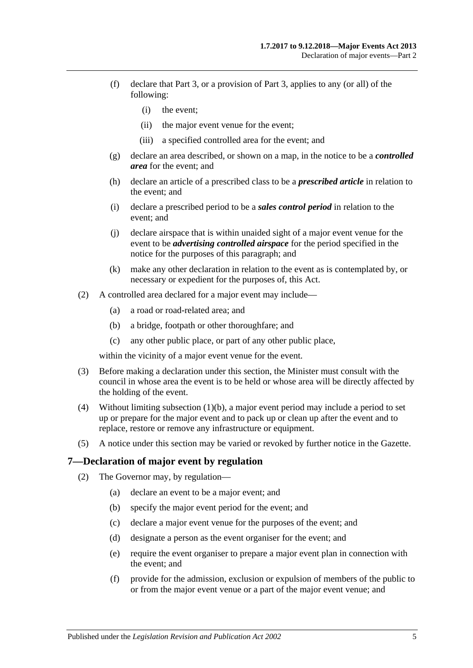- (f) declare that [Part](#page-6-0) 3, or a provision of [Part](#page-6-0) 3, applies to any (or all) of the following:
	- (i) the event;
	- (ii) the major event venue for the event;
	- (iii) a specified controlled area for the event; and
- (g) declare an area described, or shown on a map, in the notice to be a *controlled area* for the event; and
- (h) declare an article of a prescribed class to be a *prescribed article* in relation to the event; and
- (i) declare a prescribed period to be a *sales control period* in relation to the event; and
- (j) declare airspace that is within unaided sight of a major event venue for the event to be *advertising controlled airspace* for the period specified in the notice for the purposes of this paragraph; and
- (k) make any other declaration in relation to the event as is contemplated by, or necessary or expedient for the purposes of, this Act.
- (2) A controlled area declared for a major event may include—
	- (a) a road or road-related area; and
	- (b) a bridge, footpath or other thoroughfare; and
	- (c) any other public place, or part of any other public place,

within the vicinity of a major event venue for the event.

- (3) Before making a declaration under this section, the Minister must consult with the council in whose area the event is to be held or whose area will be directly affected by the holding of the event.
- (4) Without limiting [subsection](#page-3-5) (1)(b), a major event period may include a period to set up or prepare for the major event and to pack up or clean up after the event and to replace, restore or remove any infrastructure or equipment.
- (5) A notice under this section may be varied or revoked by further notice in the Gazette.

#### <span id="page-4-0"></span>**7—Declaration of major event by regulation**

- <span id="page-4-1"></span>(2) The Governor may, by regulation—
	- (a) declare an event to be a major event; and
	- (b) specify the major event period for the event; and
	- (c) declare a major event venue for the purposes of the event; and
	- (d) designate a person as the event organiser for the event; and
	- (e) require the event organiser to prepare a major event plan in connection with the event; and
	- (f) provide for the admission, exclusion or expulsion of members of the public to or from the major event venue or a part of the major event venue; and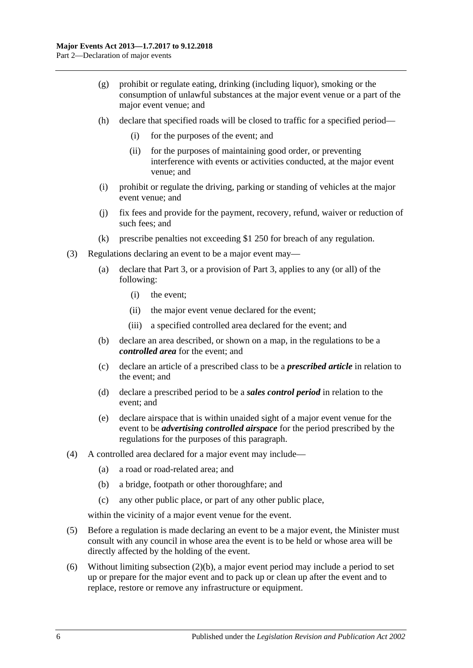- (g) prohibit or regulate eating, drinking (including liquor), smoking or the consumption of unlawful substances at the major event venue or a part of the major event venue; and
- (h) declare that specified roads will be closed to traffic for a specified period—
	- (i) for the purposes of the event; and
	- (ii) for the purposes of maintaining good order, or preventing interference with events or activities conducted, at the major event venue; and
- (i) prohibit or regulate the driving, parking or standing of vehicles at the major event venue; and
- (j) fix fees and provide for the payment, recovery, refund, waiver or reduction of such fees; and
- (k) prescribe penalties not exceeding \$1 250 for breach of any regulation.
- <span id="page-5-0"></span>(3) Regulations declaring an event to be a major event may—
	- (a) declare that [Part](#page-6-0) 3, or a provision of [Part](#page-6-0) 3, applies to any (or all) of the following:
		- (i) the event;
		- (ii) the major event venue declared for the event;
		- (iii) a specified controlled area declared for the event; and
	- (b) declare an area described, or shown on a map, in the regulations to be a *controlled area* for the event; and
	- (c) declare an article of a prescribed class to be a *prescribed article* in relation to the event; and
	- (d) declare a prescribed period to be a *sales control period* in relation to the event; and
	- (e) declare airspace that is within unaided sight of a major event venue for the event to be *advertising controlled airspace* for the period prescribed by the regulations for the purposes of this paragraph.
- (4) A controlled area declared for a major event may include—
	- (a) a road or road-related area; and
	- (b) a bridge, footpath or other thoroughfare; and
	- (c) any other public place, or part of any other public place,

within the vicinity of a major event venue for the event.

- (5) Before a regulation is made declaring an event to be a major event, the Minister must consult with any council in whose area the event is to be held or whose area will be directly affected by the holding of the event.
- (6) Without limiting [subsection](#page-4-1)  $(2)(b)$ , a major event period may include a period to set up or prepare for the major event and to pack up or clean up after the event and to replace, restore or remove any infrastructure or equipment.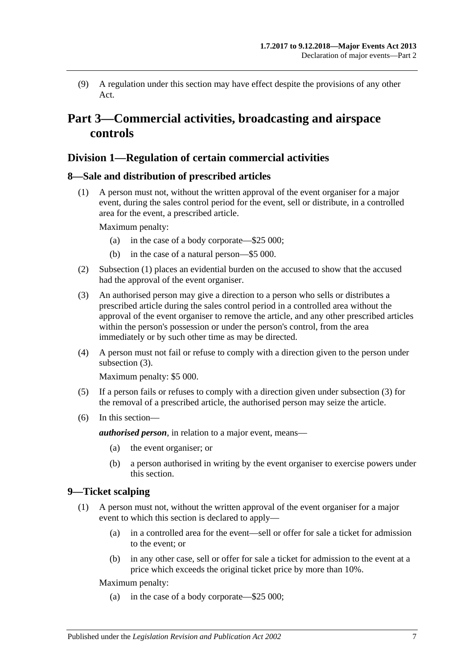(9) A regulation under this section may have effect despite the provisions of any other Act.

# <span id="page-6-0"></span>**Part 3—Commercial activities, broadcasting and airspace controls**

#### <span id="page-6-1"></span>**Division 1—Regulation of certain commercial activities**

#### <span id="page-6-4"></span><span id="page-6-2"></span>**8—Sale and distribution of prescribed articles**

(1) A person must not, without the written approval of the event organiser for a major event, during the sales control period for the event, sell or distribute, in a controlled area for the event, a prescribed article.

Maximum penalty:

- (a) in the case of a body corporate—\$25 000;
- (b) in the case of a natural person—\$5 000.
- (2) [Subsection \(1\)](#page-6-4) places an evidential burden on the accused to show that the accused had the approval of the event organiser.
- <span id="page-6-5"></span>(3) An authorised person may give a direction to a person who sells or distributes a prescribed article during the sales control period in a controlled area without the approval of the event organiser to remove the article, and any other prescribed articles within the person's possession or under the person's control, from the area immediately or by such other time as may be directed.
- (4) A person must not fail or refuse to comply with a direction given to the person under [subsection](#page-6-5) (3).

Maximum penalty: \$5 000.

- (5) If a person fails or refuses to comply with a direction given under [subsection](#page-6-5) (3) for the removal of a prescribed article, the authorised person may seize the article.
- (6) In this section—

*authorised person*, in relation to a major event, means—

- (a) the event organiser; or
- (b) a person authorised in writing by the event organiser to exercise powers under this section.

#### <span id="page-6-6"></span><span id="page-6-3"></span>**9—Ticket scalping**

- (1) A person must not, without the written approval of the event organiser for a major event to which this section is declared to apply—
	- (a) in a controlled area for the event—sell or offer for sale a ticket for admission to the event; or
	- (b) in any other case, sell or offer for sale a ticket for admission to the event at a price which exceeds the original ticket price by more than 10%.

Maximum penalty:

(a) in the case of a body corporate—\$25 000;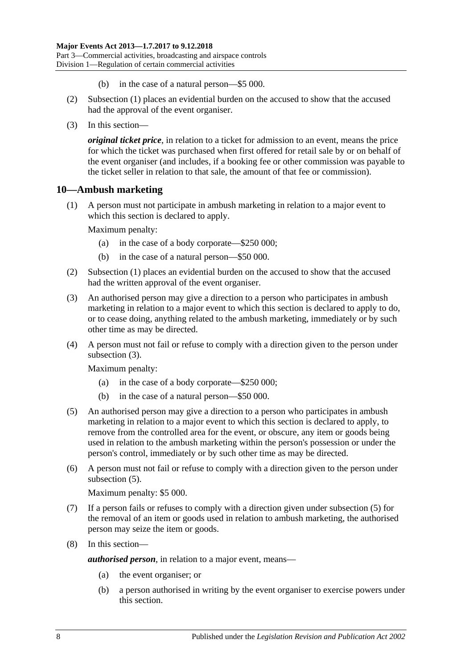- (b) in the case of a natural person—\$5 000.
- (2) [Subsection](#page-6-6) (1) places an evidential burden on the accused to show that the accused had the approval of the event organiser.
- (3) In this section—

*original ticket price*, in relation to a ticket for admission to an event, means the price for which the ticket was purchased when first offered for retail sale by or on behalf of the event organiser (and includes, if a booking fee or other commission was payable to the ticket seller in relation to that sale, the amount of that fee or commission).

#### <span id="page-7-1"></span><span id="page-7-0"></span>**10—Ambush marketing**

(1) A person must not participate in ambush marketing in relation to a major event to which this section is declared to apply.

Maximum penalty:

- (a) in the case of a body corporate—\$250 000;
- (b) in the case of a natural person—\$50 000.
- (2) [Subsection \(1\)](#page-7-1) places an evidential burden on the accused to show that the accused had the written approval of the event organiser.
- <span id="page-7-2"></span>(3) An authorised person may give a direction to a person who participates in ambush marketing in relation to a major event to which this section is declared to apply to do, or to cease doing, anything related to the ambush marketing, immediately or by such other time as may be directed.
- (4) A person must not fail or refuse to comply with a direction given to the person under [subsection](#page-7-2) (3).

Maximum penalty:

- (a) in the case of a body corporate—\$250 000;
- (b) in the case of a natural person—\$50 000.
- <span id="page-7-3"></span>(5) An authorised person may give a direction to a person who participates in ambush marketing in relation to a major event to which this section is declared to apply, to remove from the controlled area for the event, or obscure, any item or goods being used in relation to the ambush marketing within the person's possession or under the person's control, immediately or by such other time as may be directed.
- (6) A person must not fail or refuse to comply with a direction given to the person under [subsection](#page-7-3)  $(5)$ .

Maximum penalty: \$5 000.

- (7) If a person fails or refuses to comply with a direction given under [subsection](#page-7-3) (5) for the removal of an item or goods used in relation to ambush marketing, the authorised person may seize the item or goods.
- (8) In this section—

*authorised person*, in relation to a major event, means—

- (a) the event organiser; or
- (b) a person authorised in writing by the event organiser to exercise powers under this section.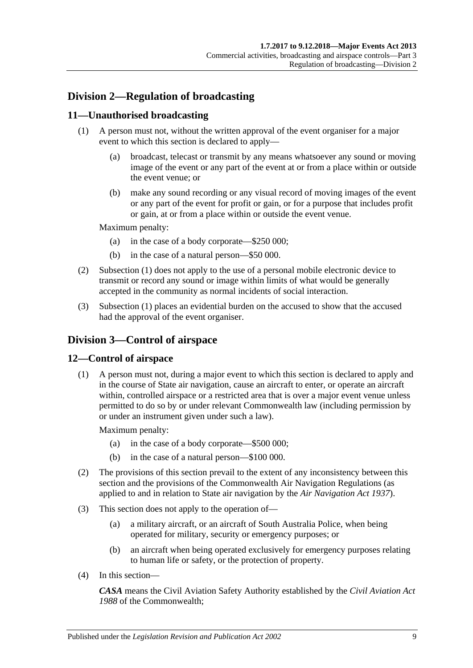### <span id="page-8-0"></span>**Division 2—Regulation of broadcasting**

#### <span id="page-8-4"></span><span id="page-8-1"></span>**11—Unauthorised broadcasting**

- (1) A person must not, without the written approval of the event organiser for a major event to which this section is declared to apply—
	- (a) broadcast, telecast or transmit by any means whatsoever any sound or moving image of the event or any part of the event at or from a place within or outside the event venue; or
	- (b) make any sound recording or any visual record of moving images of the event or any part of the event for profit or gain, or for a purpose that includes profit or gain, at or from a place within or outside the event venue.

Maximum penalty:

- (a) in the case of a body corporate—\$250 000;
- (b) in the case of a natural person—\$50 000.
- (2) [Subsection \(1\)](#page-8-4) does not apply to the use of a personal mobile electronic device to transmit or record any sound or image within limits of what would be generally accepted in the community as normal incidents of social interaction.
- (3) [Subsection \(1\)](#page-8-4) places an evidential burden on the accused to show that the accused had the approval of the event organiser.

### <span id="page-8-2"></span>**Division 3—Control of airspace**

#### <span id="page-8-3"></span>**12—Control of airspace**

(1) A person must not, during a major event to which this section is declared to apply and in the course of State air navigation, cause an aircraft to enter, or operate an aircraft within, controlled airspace or a restricted area that is over a major event venue unless permitted to do so by or under relevant Commonwealth law (including permission by or under an instrument given under such a law).

Maximum penalty:

- (a) in the case of a body corporate—\$500 000;
- (b) in the case of a natural person—\$100 000.
- (2) The provisions of this section prevail to the extent of any inconsistency between this section and the provisions of the Commonwealth Air Navigation Regulations (as applied to and in relation to State air navigation by the *[Air Navigation Act](http://www.legislation.sa.gov.au/index.aspx?action=legref&type=act&legtitle=Air%20Navigation%20Act%201937) 1937*).
- (3) This section does not apply to the operation of—
	- (a) a military aircraft, or an aircraft of South Australia Police, when being operated for military, security or emergency purposes; or
	- (b) an aircraft when being operated exclusively for emergency purposes relating to human life or safety, or the protection of property.
- (4) In this section—

*CASA* means the Civil Aviation Safety Authority established by the *Civil Aviation Act 1988* of the Commonwealth;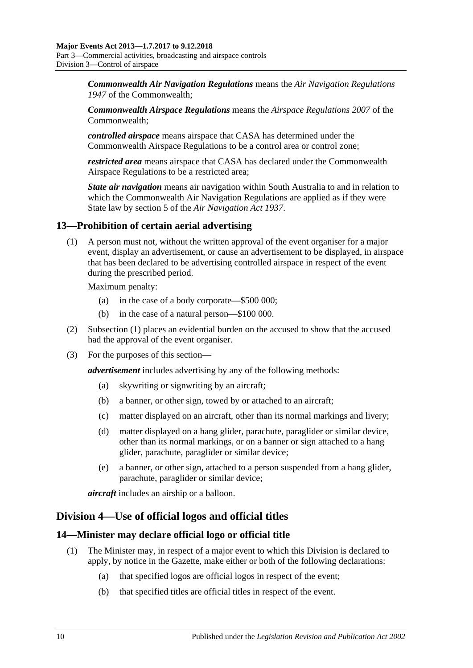*Commonwealth Air Navigation Regulations* means the *Air Navigation Regulations 1947* of the Commonwealth;

*Commonwealth Airspace Regulations* means the *Airspace Regulations 2007* of the Commonwealth;

*controlled airspace* means airspace that CASA has determined under the Commonwealth Airspace Regulations to be a control area or control zone;

*restricted area* means airspace that CASA has declared under the Commonwealth Airspace Regulations to be a restricted area;

*State air navigation* means air navigation within South Australia to and in relation to which the Commonwealth Air Navigation Regulations are applied as if they were State law by section 5 of the *[Air Navigation Act](http://www.legislation.sa.gov.au/index.aspx?action=legref&type=act&legtitle=Air%20Navigation%20Act%201937) 1937*.

#### <span id="page-9-3"></span><span id="page-9-0"></span>**13—Prohibition of certain aerial advertising**

(1) A person must not, without the written approval of the event organiser for a major event, display an advertisement, or cause an advertisement to be displayed, in airspace that has been declared to be advertising controlled airspace in respect of the event during the prescribed period.

Maximum penalty:

- (a) in the case of a body corporate—\$500 000;
- (b) in the case of a natural person—\$100 000.
- (2) [Subsection \(1\)](#page-9-3) places an evidential burden on the accused to show that the accused had the approval of the event organiser.
- (3) For the purposes of this section—

*advertisement* includes advertising by any of the following methods:

- (a) skywriting or signwriting by an aircraft;
- (b) a banner, or other sign, towed by or attached to an aircraft;
- (c) matter displayed on an aircraft, other than its normal markings and livery;
- (d) matter displayed on a hang glider, parachute, paraglider or similar device, other than its normal markings, or on a banner or sign attached to a hang glider, parachute, paraglider or similar device;
- (e) a banner, or other sign, attached to a person suspended from a hang glider, parachute, paraglider or similar device;

*aircraft* includes an airship or a balloon.

#### <span id="page-9-1"></span>**Division 4—Use of official logos and official titles**

#### <span id="page-9-4"></span><span id="page-9-2"></span>**14—Minister may declare official logo or official title**

- (1) The Minister may, in respect of a major event to which this Division is declared to apply, by notice in the Gazette, make either or both of the following declarations:
	- (a) that specified logos are official logos in respect of the event;
	- (b) that specified titles are official titles in respect of the event.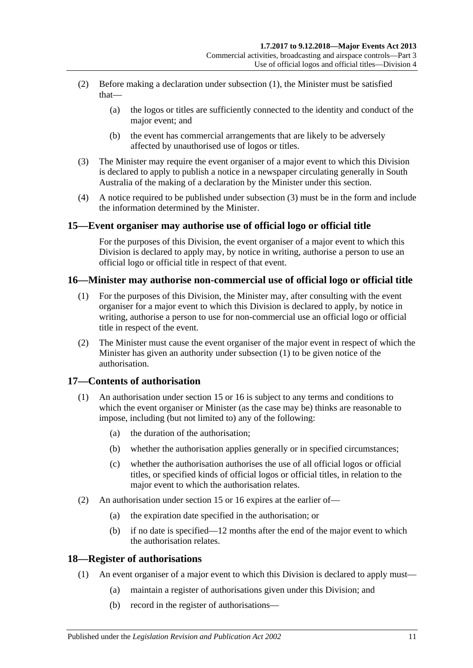- (2) Before making a declaration under [subsection](#page-9-4) (1), the Minister must be satisfied that—
	- (a) the logos or titles are sufficiently connected to the identity and conduct of the major event; and
	- (b) the event has commercial arrangements that are likely to be adversely affected by unauthorised use of logos or titles.
- <span id="page-10-4"></span>(3) The Minister may require the event organiser of a major event to which this Division is declared to apply to publish a notice in a newspaper circulating generally in South Australia of the making of a declaration by the Minister under this section.
- (4) A notice required to be published under [subsection](#page-10-4) (3) must be in the form and include the information determined by the Minister.

#### <span id="page-10-0"></span>**15—Event organiser may authorise use of official logo or official title**

For the purposes of this Division, the event organiser of a major event to which this Division is declared to apply may, by notice in writing, authorise a person to use an official logo or official title in respect of that event.

#### <span id="page-10-5"></span><span id="page-10-1"></span>**16—Minister may authorise non-commercial use of official logo or official title**

- (1) For the purposes of this Division, the Minister may, after consulting with the event organiser for a major event to which this Division is declared to apply, by notice in writing, authorise a person to use for non-commercial use an official logo or official title in respect of the event.
- (2) The Minister must cause the event organiser of the major event in respect of which the Minister has given an authority under [subsection](#page-10-5) (1) to be given notice of the authorisation.

#### <span id="page-10-2"></span>**17—Contents of authorisation**

- (1) An authorisation under [section](#page-10-0) 15 or [16](#page-10-1) is subject to any terms and conditions to which the event organiser or Minister (as the case may be) thinks are reasonable to impose, including (but not limited to) any of the following:
	- (a) the duration of the authorisation;
	- (b) whether the authorisation applies generally or in specified circumstances;
	- (c) whether the authorisation authorises the use of all official logos or official titles, or specified kinds of official logos or official titles, in relation to the major event to which the authorisation relates.
- (2) An authorisation under [section](#page-10-0) 15 or [16](#page-10-1) expires at the earlier of—
	- (a) the expiration date specified in the authorisation; or
	- (b) if no date is specified—12 months after the end of the major event to which the authorisation relates.

#### <span id="page-10-3"></span>**18—Register of authorisations**

- (1) An event organiser of a major event to which this Division is declared to apply must—
	- (a) maintain a register of authorisations given under this Division; and
	- (b) record in the register of authorisations—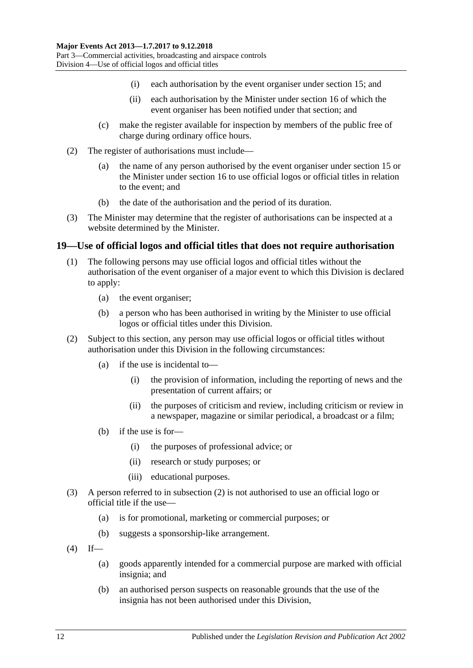- (i) each authorisation by the event organiser under [section](#page-10-0) 15; and
- (ii) each authorisation by the Minister under [section](#page-10-1) 16 of which the event organiser has been notified under that section; and
- (c) make the register available for inspection by members of the public free of charge during ordinary office hours.
- (2) The register of authorisations must include—
	- (a) the name of any person authorised by the event organiser under [section](#page-10-0) 15 or the Minister under [section](#page-10-1) 16 to use official logos or official titles in relation to the event; and
	- (b) the date of the authorisation and the period of its duration.
- (3) The Minister may determine that the register of authorisations can be inspected at a website determined by the Minister.

#### <span id="page-11-0"></span>**19—Use of official logos and official titles that does not require authorisation**

- (1) The following persons may use official logos and official titles without the authorisation of the event organiser of a major event to which this Division is declared to apply:
	- (a) the event organiser;
	- (b) a person who has been authorised in writing by the Minister to use official logos or official titles under this Division.
- <span id="page-11-1"></span>(2) Subject to this section, any person may use official logos or official titles without authorisation under this Division in the following circumstances:
	- (a) if the use is incidental to—
		- (i) the provision of information, including the reporting of news and the presentation of current affairs; or
		- (ii) the purposes of criticism and review, including criticism or review in a newspaper, magazine or similar periodical, a broadcast or a film;
	- (b) if the use is for—
		- (i) the purposes of professional advice; or
		- (ii) research or study purposes; or
		- (iii) educational purposes.
- (3) A person referred to in [subsection](#page-11-1) (2) is not authorised to use an official logo or official title if the use—
	- (a) is for promotional, marketing or commercial purposes; or
	- (b) suggests a sponsorship-like arrangement.
- $(4)$  If—
	- (a) goods apparently intended for a commercial purpose are marked with official insignia; and
	- (b) an authorised person suspects on reasonable grounds that the use of the insignia has not been authorised under this Division,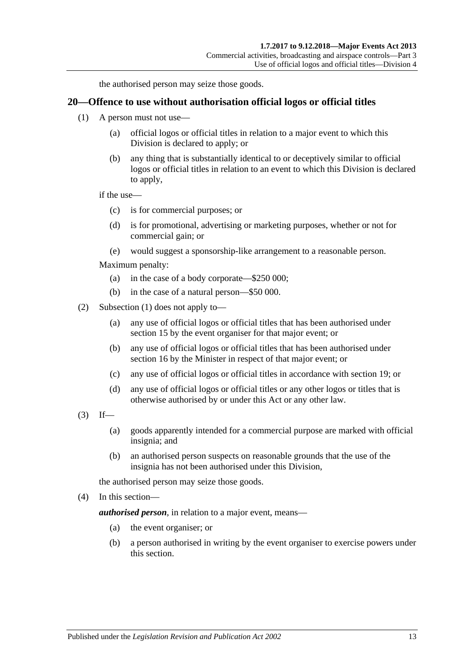the authorised person may seize those goods.

#### <span id="page-12-1"></span><span id="page-12-0"></span>**20—Offence to use without authorisation official logos or official titles**

- (1) A person must not use—
	- (a) official logos or official titles in relation to a major event to which this Division is declared to apply; or
	- (b) any thing that is substantially identical to or deceptively similar to official logos or official titles in relation to an event to which this Division is declared to apply,

if the use—

- (c) is for commercial purposes; or
- (d) is for promotional, advertising or marketing purposes, whether or not for commercial gain; or
- (e) would suggest a sponsorship-like arrangement to a reasonable person.

Maximum penalty:

- (a) in the case of a body corporate—\$250 000;
- (b) in the case of a natural person—\$50 000.
- (2) [Subsection \(1\)](#page-12-1) does not apply to—
	- (a) any use of official logos or official titles that has been authorised under [section](#page-10-0) 15 by the event organiser for that major event; or
	- (b) any use of official logos or official titles that has been authorised under [section](#page-10-1) 16 by the Minister in respect of that major event; or
	- (c) any use of official logos or official titles in accordance with [section](#page-11-0) 19; or
	- (d) any use of official logos or official titles or any other logos or titles that is otherwise authorised by or under this Act or any other law.
- $(3)$  If—
	- (a) goods apparently intended for a commercial purpose are marked with official insignia; and
	- (b) an authorised person suspects on reasonable grounds that the use of the insignia has not been authorised under this Division,

the authorised person may seize those goods.

(4) In this section—

*authorised person*, in relation to a major event, means—

- (a) the event organiser; or
- (b) a person authorised in writing by the event organiser to exercise powers under this section.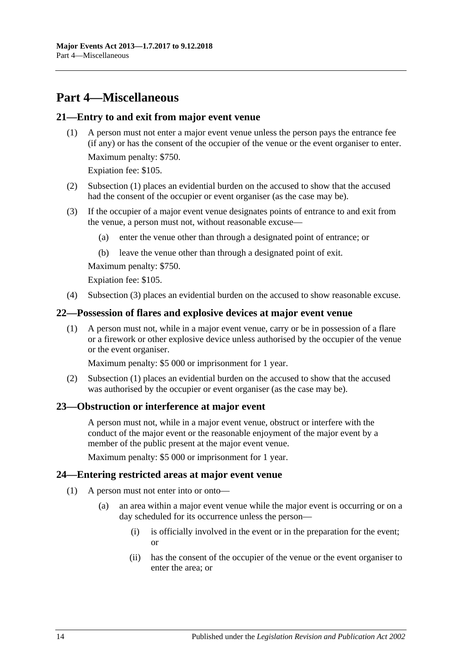# <span id="page-13-0"></span>**Part 4—Miscellaneous**

#### <span id="page-13-5"></span><span id="page-13-1"></span>**21—Entry to and exit from major event venue**

(1) A person must not enter a major event venue unless the person pays the entrance fee (if any) or has the consent of the occupier of the venue or the event organiser to enter. Maximum penalty: \$750.

Expiation fee: \$105.

- (2) [Subsection \(1\)](#page-13-5) places an evidential burden on the accused to show that the accused had the consent of the occupier or event organiser (as the case may be).
- <span id="page-13-6"></span>(3) If the occupier of a major event venue designates points of entrance to and exit from the venue, a person must not, without reasonable excuse—
	- (a) enter the venue other than through a designated point of entrance; or
	- (b) leave the venue other than through a designated point of exit.

Maximum penalty: \$750.

Expiation fee: \$105.

(4) [Subsection](#page-13-6) (3) places an evidential burden on the accused to show reasonable excuse.

#### <span id="page-13-7"></span><span id="page-13-2"></span>**22—Possession of flares and explosive devices at major event venue**

(1) A person must not, while in a major event venue, carry or be in possession of a flare or a firework or other explosive device unless authorised by the occupier of the venue or the event organiser.

Maximum penalty: \$5 000 or imprisonment for 1 year.

(2) [Subsection \(1\)](#page-13-7) places an evidential burden on the accused to show that the accused was authorised by the occupier or event organiser (as the case may be).

#### <span id="page-13-3"></span>**23—Obstruction or interference at major event**

A person must not, while in a major event venue, obstruct or interfere with the conduct of the major event or the reasonable enjoyment of the major event by a member of the public present at the major event venue.

Maximum penalty: \$5 000 or imprisonment for 1 year.

#### <span id="page-13-8"></span><span id="page-13-4"></span>**24—Entering restricted areas at major event venue**

- (1) A person must not enter into or onto—
	- (a) an area within a major event venue while the major event is occurring or on a day scheduled for its occurrence unless the person—
		- (i) is officially involved in the event or in the preparation for the event; or
		- (ii) has the consent of the occupier of the venue or the event organiser to enter the area; or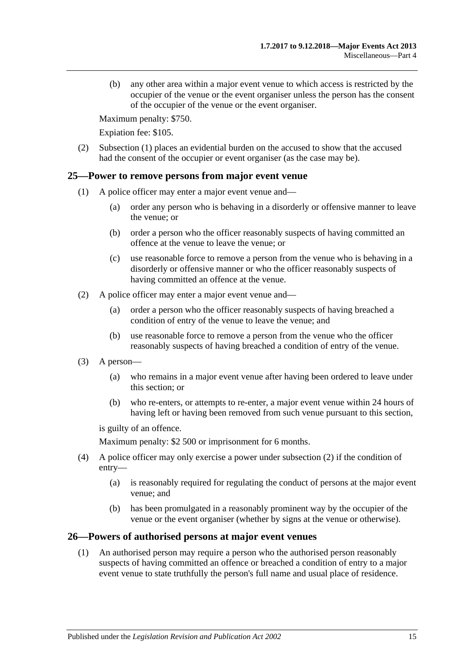(b) any other area within a major event venue to which access is restricted by the occupier of the venue or the event organiser unless the person has the consent of the occupier of the venue or the event organiser.

Maximum penalty: \$750.

Expiation fee: \$105.

(2) [Subsection \(1\)](#page-13-8) places an evidential burden on the accused to show that the accused had the consent of the occupier or event organiser (as the case may be).

#### <span id="page-14-0"></span>**25—Power to remove persons from major event venue**

- (1) A police officer may enter a major event venue and—
	- (a) order any person who is behaving in a disorderly or offensive manner to leave the venue; or
	- (b) order a person who the officer reasonably suspects of having committed an offence at the venue to leave the venue; or
	- (c) use reasonable force to remove a person from the venue who is behaving in a disorderly or offensive manner or who the officer reasonably suspects of having committed an offence at the venue.
- <span id="page-14-2"></span>(2) A police officer may enter a major event venue and—
	- (a) order a person who the officer reasonably suspects of having breached a condition of entry of the venue to leave the venue; and
	- (b) use reasonable force to remove a person from the venue who the officer reasonably suspects of having breached a condition of entry of the venue.
- (3) A person—
	- (a) who remains in a major event venue after having been ordered to leave under this section; or
	- (b) who re-enters, or attempts to re-enter, a major event venue within 24 hours of having left or having been removed from such venue pursuant to this section,

is guilty of an offence.

Maximum penalty: \$2 500 or imprisonment for 6 months.

- (4) A police officer may only exercise a power under [subsection](#page-14-2) (2) if the condition of entry—
	- (a) is reasonably required for regulating the conduct of persons at the major event venue; and
	- (b) has been promulgated in a reasonably prominent way by the occupier of the venue or the event organiser (whether by signs at the venue or otherwise).

#### <span id="page-14-1"></span>**26—Powers of authorised persons at major event venues**

(1) An authorised person may require a person who the authorised person reasonably suspects of having committed an offence or breached a condition of entry to a major event venue to state truthfully the person's full name and usual place of residence.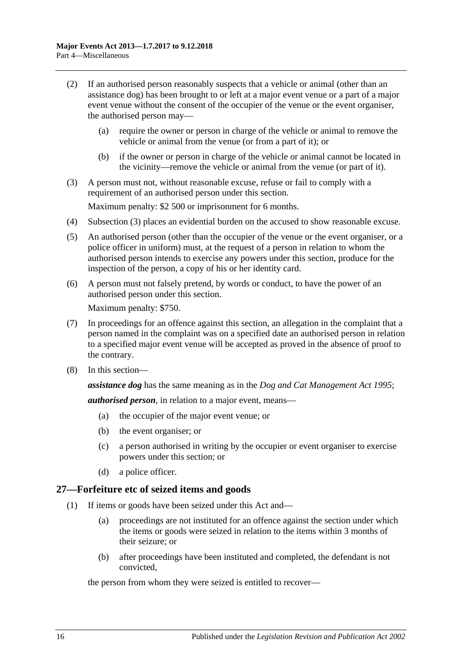- (2) If an authorised person reasonably suspects that a vehicle or animal (other than an assistance dog) has been brought to or left at a major event venue or a part of a major event venue without the consent of the occupier of the venue or the event organiser, the authorised person may—
	- (a) require the owner or person in charge of the vehicle or animal to remove the vehicle or animal from the venue (or from a part of it); or
	- (b) if the owner or person in charge of the vehicle or animal cannot be located in the vicinity—remove the vehicle or animal from the venue (or part of it).
- <span id="page-15-1"></span>(3) A person must not, without reasonable excuse, refuse or fail to comply with a requirement of an authorised person under this section.

Maximum penalty: \$2 500 or imprisonment for 6 months.

- (4) [Subsection \(3\)](#page-15-1) places an evidential burden on the accused to show reasonable excuse.
- (5) An authorised person (other than the occupier of the venue or the event organiser, or a police officer in uniform) must, at the request of a person in relation to whom the authorised person intends to exercise any powers under this section, produce for the inspection of the person, a copy of his or her identity card.
- (6) A person must not falsely pretend, by words or conduct, to have the power of an authorised person under this section.

Maximum penalty: \$750.

- (7) In proceedings for an offence against this section, an allegation in the complaint that a person named in the complaint was on a specified date an authorised person in relation to a specified major event venue will be accepted as proved in the absence of proof to the contrary.
- (8) In this section—

*assistance dog* has the same meaning as in the *[Dog and Cat Management Act](http://www.legislation.sa.gov.au/index.aspx?action=legref&type=act&legtitle=Dog%20and%20Cat%20Management%20Act%201995) 1995*;

*authorised person*, in relation to a major event, means—

- (a) the occupier of the major event venue; or
- (b) the event organiser; or
- (c) a person authorised in writing by the occupier or event organiser to exercise powers under this section; or
- (d) a police officer.

#### <span id="page-15-2"></span><span id="page-15-0"></span>**27—Forfeiture etc of seized items and goods**

- (1) If items or goods have been seized under this Act and—
	- (a) proceedings are not instituted for an offence against the section under which the items or goods were seized in relation to the items within 3 months of their seizure; or
	- (b) after proceedings have been instituted and completed, the defendant is not convicted,

the person from whom they were seized is entitled to recover—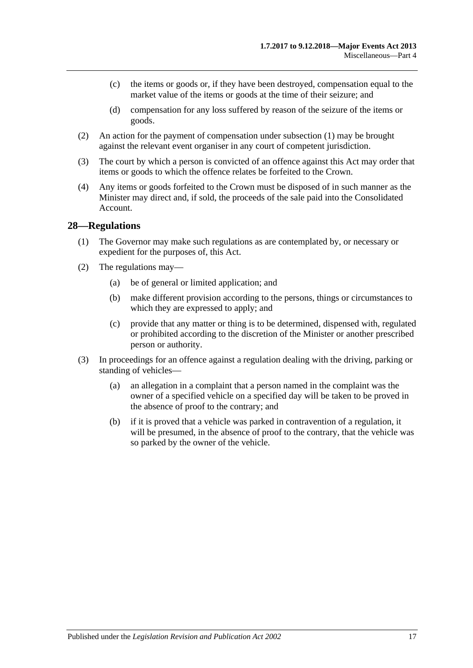- (c) the items or goods or, if they have been destroyed, compensation equal to the market value of the items or goods at the time of their seizure; and
- (d) compensation for any loss suffered by reason of the seizure of the items or goods.
- (2) An action for the payment of compensation under [subsection](#page-15-2) (1) may be brought against the relevant event organiser in any court of competent jurisdiction.
- (3) The court by which a person is convicted of an offence against this Act may order that items or goods to which the offence relates be forfeited to the Crown.
- (4) Any items or goods forfeited to the Crown must be disposed of in such manner as the Minister may direct and, if sold, the proceeds of the sale paid into the Consolidated Account.

#### <span id="page-16-0"></span>**28—Regulations**

- (1) The Governor may make such regulations as are contemplated by, or necessary or expedient for the purposes of, this Act.
- (2) The regulations may—
	- (a) be of general or limited application; and
	- (b) make different provision according to the persons, things or circumstances to which they are expressed to apply; and
	- (c) provide that any matter or thing is to be determined, dispensed with, regulated or prohibited according to the discretion of the Minister or another prescribed person or authority.
- (3) In proceedings for an offence against a regulation dealing with the driving, parking or standing of vehicles—
	- (a) an allegation in a complaint that a person named in the complaint was the owner of a specified vehicle on a specified day will be taken to be proved in the absence of proof to the contrary; and
	- (b) if it is proved that a vehicle was parked in contravention of a regulation, it will be presumed, in the absence of proof to the contrary, that the vehicle was so parked by the owner of the vehicle.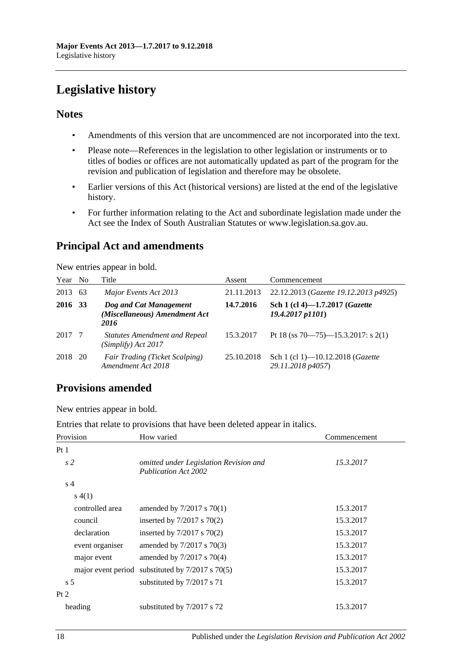# <span id="page-17-0"></span>**Legislative history**

#### **Notes**

- Amendments of this version that are uncommenced are not incorporated into the text.
- Please note—References in the legislation to other legislation or instruments or to titles of bodies or offices are not automatically updated as part of the program for the revision and publication of legislation and therefore may be obsolete.
- Earlier versions of this Act (historical versions) are listed at the end of the legislative history.
- For further information relating to the Act and subordinate legislation made under the Act see the Index of South Australian Statutes or www.legislation.sa.gov.au.

### **Principal Act and amendments**

New entries appear in bold.

| Year No |     | Title                                                           | Assent     | Commencement                                            |
|---------|-----|-----------------------------------------------------------------|------------|---------------------------------------------------------|
| 2013    | 63  | Major Events Act 2013                                           | 21.11.2013 | 22.12.2013 (Gazette 19.12.2013 p4925)                   |
| 2016    | -33 | Dog and Cat Management<br>(Miscellaneous) Amendment Act<br>2016 | 14.7.2016  | Sch 1 (cl 4)-1.7.2017 (Gazette<br>$19.4.2017$ $p1101$ ) |
| 2017    | -7  | <b>Statutes Amendment and Repeal</b><br>(Simplify) Act 2017     | 15.3.2017  | Pt 18 (ss 70—75)—15.3.2017: s 2(1)                      |
| 2018    | 20  | Fair Trading (Ticket Scalping)<br>Amendment Act 2018            | 25.10.2018 | Sch 1 (cl 1)-10.12.2018 (Gazette<br>29.11.2018 p4057)   |

### **Provisions amended**

New entries appear in bold.

Entries that relate to provisions that have been deleted appear in italics.

| Provision       | How varied                                                     | Commencement |
|-----------------|----------------------------------------------------------------|--------------|
| Pt <sub>1</sub> |                                                                |              |
| s <sub>2</sub>  | omitted under Legislation Revision and<br>Publication Act 2002 | 15.3.2017    |
| s <sub>4</sub>  |                                                                |              |
| s(4(1))         |                                                                |              |
| controlled area | amended by $7/2017$ s $70(1)$                                  | 15.3.2017    |
| council         | inserted by $7/2017$ s $70(2)$                                 | 15.3.2017    |
| declaration     | inserted by $7/2017$ s $70(2)$                                 | 15.3.2017    |
| event organiser | amended by 7/2017 s 70(3)                                      | 15.3.2017    |
| major event     | amended by $7/2017$ s $70(4)$                                  | 15.3.2017    |
|                 | major event period substituted by $7/2017$ s $70(5)$           | 15.3.2017    |
| s <sub>5</sub>  | substituted by 7/2017 s 71                                     | 15.3.2017    |
| Pt 2            |                                                                |              |
| heading         | substituted by 7/2017 s 72                                     | 15.3.2017    |